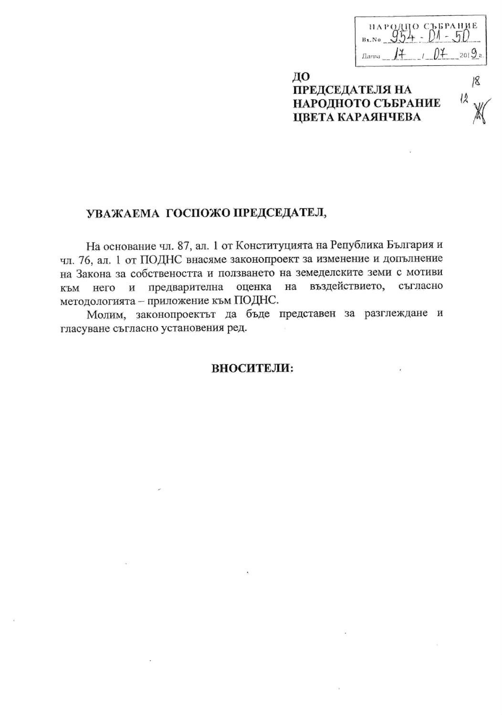| народно съррание<br>Bx.No |  |
|---------------------------|--|
| Лата                      |  |

18

ДО **ПРЕДСЕДАТЕЛЯ НА** НАРОДНОТО СЪБРАНИЕ ЦВЕТА КАРАЯНЧЕВА

# УВАЖАЕМА ГОСПОЖО ПРЕДСЕДАТЕЛ,

На основание чл. 87, ал. 1 от Конституцията на Република България и чл. 76, ал. 1 от ПОДНС внасяме законопроект за изменение и допълнение на Закона за собствеността и ползването на земеделските земи с мотиви предварителна оценка на въздействието, съгласно И него КЪМ методологията - приложение към ПОДНС.

Молим, законопроектът да бъде представен за разглеждане и гласуване съгласно установения ред.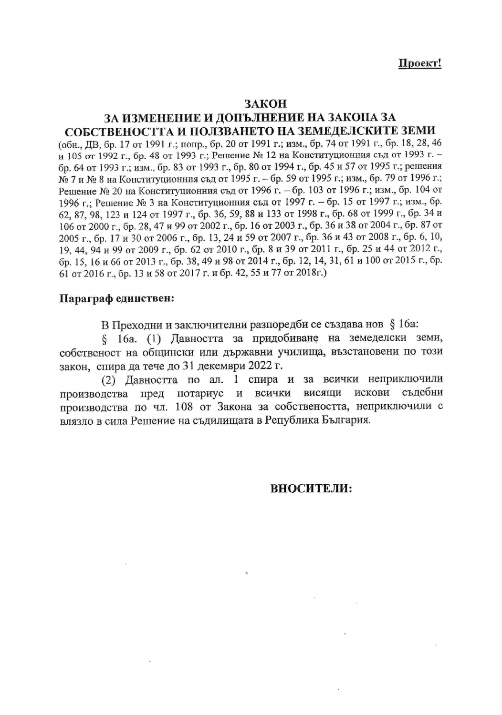### ЗАКОН

# ЗА ИЗМЕНЕНИЕ И ДОПЪЛНЕНИЕ НА ЗАКОНА ЗА СОБСТВЕНОСТТА И ПОЛЗВАНЕТО НА ЗЕМЕДЕЛСКИТЕ ЗЕМИ

(обн., ДВ, бр. 17 от 1991 г.; попр., бр. 20 от 1991 г.; изм., бр. 74 от 1991 г., бр. 18, 28, 46 и 105 от 1992 г., бр. 48 от 1993 г.; Решение № 12 на Конституционния съд от 1993 г. – бр. 64 от 1993 г.; изм., бр. 83 от 1993 г., бр. 80 от 1994 г., бр. 45 и 57 от 1995 г.; решения № 7 и № 8 на Конституционния съд от 1995 г. – бр. 59 от 1995 г.; изм., бр. 79 от 1996 г.; Решение № 20 на Конституционния съд от 1996 г. – бр. 103 от 1996 г.; изм., бр. 104 от 1996 г.; Решение № 3 на Конституционния съд от 1997 г. – бр. 15 от 1997 г.; изм., бр. 62, 87, 98, 123 и 124 от 1997 г., бр. 36, 59, 88 и 133 от 1998 г., бр. 68 от 1999 г., бр. 34 и 106 от 2000 г., бр. 28, 47 и 99 от 2002 г., бр. 16 от 2003 г., бр. 36 и 38 от 2004 г., бр. 87 от 2005 г., бр. 17 и 30 от 2006 г., бр. 13, 24 и 59 от 2007 г., бр. 36 и 43 от 2008 г., бр. 6, 10, 19, 44, 94 и 99 от 2009 г., бр. 62 от 2010 г., бр. 8 и 39 от 2011 г., бр. 25 и 44 от 2012 г., бр. 15, 16 и 66 от 2013 г., бр. 38, 49 и 98 от 2014 г., бр. 12, 14, 31, 61 и 100 от 2015 г., бр. 61 от 2016 г., бр. 13 и 58 от 2017 г. и бр. 42, 55 и 77 от 2018г.)

### Параграф единствен:

В Преходни и заключителни разпоредби се създава нов § 16a:

§ 16a. (1) Давността за придобиване на земеделски земи, собственост на общински или държавни училища, възстановени по този закон, спира да тече до 31 декември 2022 г.

(2) Давността по ал. 1 спира и за всички неприключили съдебни пред нотариус и всички висящи искови производства производства по чл. 108 от Закона за собствеността, неприключили с влязло в сила Решение на съдилищата в Република България.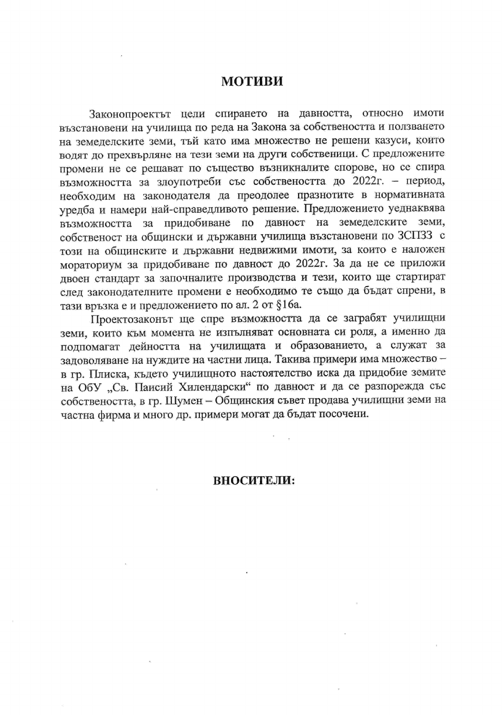# МОТИВИ

Законопроектът цели спирането на давността, относно имоти възстановени на училища по реда на Закона за собствеността и ползването на земеделските земи, тъй като има множество не решени казуси, които водят до прехвърляне на тези земи на други собственици. С предложените промени не се решават по същество възникналите спорове, но се спира възможността за злоупотреби със собствеността до 2022г. – период, необходим на законодателя да преодолее празнотите в нормативната уредба и намери най-справедливото решение. Предложението уеднаквява възможността за придобиване по давност на земеделските земи, собственост на общински и държавни училища възстановени по ЗСПЗЗ с този на общинските и държавни недвижими имоти, за които е наложен мораториум за придобиване по давност до 2022г. За да не се приложи двоен стандарт за започналите производства и тези, които ще стартират след законодателните промени е необходимо те също да бъдат спрени, в тази връзка е и предложението по ал. 2 от §16а.

Проектозаконът ще спре възможността да се заграбят училищни земи, които към момента не изпълняват основната си роля, а именно да подпомагат дейността на училищата и образованието, а служат за задоволяване на нуждите на частни лица. Такива примери има множество в гр. Плиска, където училищното настоятелство иска да придобие земите на ОбУ "Св. Паисий Хилендарски" по давност и да се разпорежда със собствеността, в гр. Шумен - Общинския съвет продава училищни земи на частна фирма и много др. примери могат да бъдат посочени.